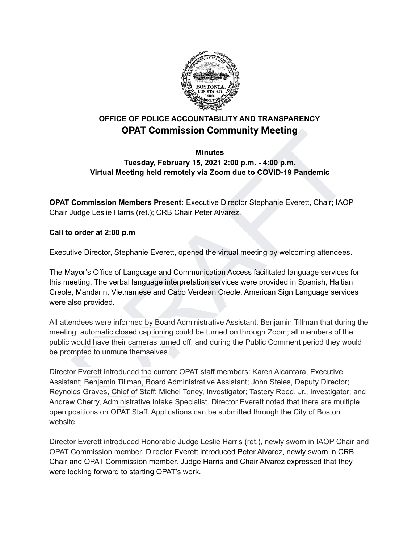

# **OFFICE OF POLICE ACCOUNTABILITY AND TRANSPARENCY OPAT Commission Community Meeting**

## **Minutes Tuesday, February 15, 2021 2:00 p.m. - 4:00 p.m. Virtual Meeting held remotely via Zoom due to COVID-19 Pandemic**

**OPAT Commission Members Present:** Executive Director Stephanie Everett, Chair; IAOP Chair Judge Leslie Harris (ret.); CRB Chair Peter Alvarez.

### **Call to order at 2:00 p.m**

Executive Director, Stephanie Everett, opened the virtual meeting by welcoming attendees.

The Mayor's Office of Language and Communication Access facilitated language services for this meeting. The verbal language interpretation services were provided in Spanish, Haitian Creole, Mandarin, Vietnamese and Cabo Verdean Creole. American Sign Language services were also provided.

All attendees were informed by Board Administrative Assistant, Benjamin Tillman that during the meeting: automatic closed captioning could be turned on through Zoom; all members of the public would have their cameras turned off; and during the Public Comment period they would be prompted to unmute themselves.

**COMPRISSION COMMISSION COMMINITY Meeting**<br> **Minutes**<br> **Minutes**<br> **COMPRIST COMPTEAT CONSECT TO PTE THEORY OF THEORY OF THEORY OF THEORY OF THEORY OF THEORY OF THEORY OF THEORY OF THEORY OF THEORY OF DUCKS LATER (CH); CRB** Director Everett introduced the current OPAT staff members: Karen Alcantara, Executive Assistant; Benjamin Tillman, Board Administrative Assistant; John Steies, Deputy Director; Reynolds Graves, Chief of Staff; Michel Toney, Investigator; Tastery Reed, Jr., Investigator; and Andrew Cherry, Administrative Intake Specialist. Director Everett noted that there are multiple open positions on OPAT Staff. Applications can be submitted through the City of Boston website.

Director Everett introduced Honorable Judge Leslie Harris (ret.), newly sworn in IAOP Chair and OPAT Commission member. Director Everett introduced Peter Alvarez, newly sworn in CRB Chair and OPAT Commission member. Judge Harris and Chair Alvarez expressed that they were looking forward to starting OPAT's work.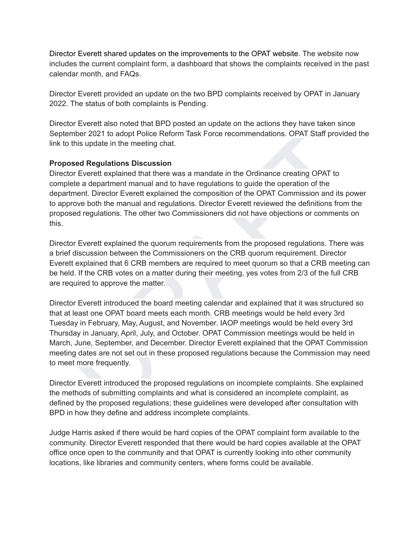Director Everett shared updates on the improvements to the OPAT website. The website now includes the current complaint form, a dashboard that shows the complaints received in the past calendar month, and FAQs.

Director Everett provided an update on the two BPD complaints received by OPAT in January 2022. The status of both complaints is Pending.

Director Everett also noted that BPD posted an update on the actions they have taken since September 2021 to adopt Police Reform Task Force recommendations. OPAT Staff provided the link to this update in the meeting chat.

#### **Proposed Regulations Discussion**

Director Everett explained that there was a mandate in the Ordinance creating OPAT to complete a department manual and to have regulations to guide the operation of the department. Director Everett explained the composition of the OPAT Commission and its power to approve both the manual and regulations. Director Everett reviewed the definitions from the proposed regulations. The other two Commissioners did not have objections or comments on this.

Director Everett explained the quorum requirements from the proposed regulations. There was a brief discussion between the Commissioners on the CRB quorum requirement. Director Everett explained that 6 CRB members are required to meet quorum so that a CRB meeting can be held. If the CRB votes on a matter during their meeting, yes votes from 2/3 of the full CRB are required to approve the matter.

mber 2021 to adopt Police Reform Task Force recommendations. OPAT Staff provided the<br>this update in the meeting chat.<br>The suplations Discussion<br>or Forest Regulations Discussion<br>or Forest explained that there was a mandate Director Everett introduced the board meeting calendar and explained that it was structured so that at least one OPAT board meets each month. CRB meetings would be held every 3rd Tuesday in February, May, August, and November. IAOP meetings would be held every 3rd Thursday in January, April, July, and October. OPAT Commission meetings would be held in March, June, September, and December. Director Everett explained that the OPAT Commission meeting dates are not set out in these proposed regulations because the Commission may need to meet more frequently.

Director Everett introduced the proposed regulations on incomplete complaints. She explained the methods of submitting complaints and what is considered an incomplete complaint, as defined by the proposed regulations; these guidelines were developed after consultation with BPD in how they define and address incomplete complaints.

Judge Harris asked if there would be hard copies of the OPAT complaint form available to the community. Director Everett responded that there would be hard copies available at the OPAT office once open to the community and that OPAT is currently looking into other community locations, like libraries and community centers, where forms could be available.